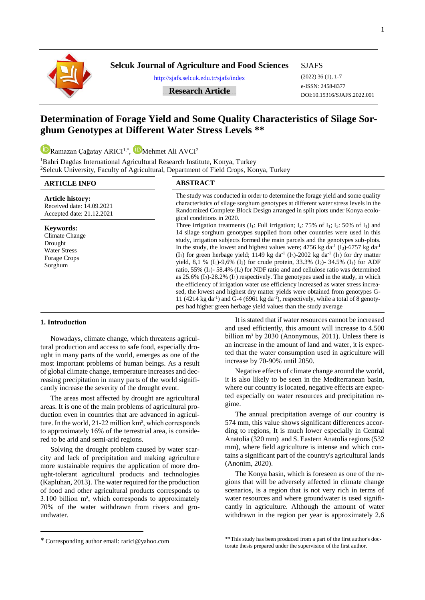**Selcuk Journal of Agriculture and Food Sciences**

<http://sjafs.selcuk.edu.tr/sjafs/index>

#### SJAFS

(2022) 36 (1), 1-7 e-ISSN: 2458-8377 DOI:10.15316/SJAFS.2022.001

## **….Research Article….**

# **Determination of Forage Yield and Some Quality Characteristics of Silage Sorghum Genotypes at Different Water Stress Levels \*\***

[R](https://orcid.org/0000-0003-2317-0603)amazan Çağatay ARICI<sup>1,\*</sup>, **U**Mehmet Ali AVCI<sup>2</sup>

<sup>1</sup>Bahri Dagdas International Agricultural Research Institute, Konya, Turkey <sup>2</sup>Selcuk University, Faculty of Agricultural, Department of Field Crops, Konya, Turkey

## **ARTICLE INFO ABSTRACT**

| <b>Article history:</b><br>Received date: 14.09.2021<br>Accepted date: 21.12.2021                      | The study was conducted in order to determine the forage yield and some quality<br>characteristics of silage sorghum genotypes at different water stress levels in the<br>Randomized Complete Block Design arranged in split plots under Konya ecolo-<br>gical conditions in 2020.                                                                                                                                                                                                                                                                                                                                                                                                                                                                                                                                                                                                                                                                                                                                                                                                                                                                                                                                                                                |
|--------------------------------------------------------------------------------------------------------|-------------------------------------------------------------------------------------------------------------------------------------------------------------------------------------------------------------------------------------------------------------------------------------------------------------------------------------------------------------------------------------------------------------------------------------------------------------------------------------------------------------------------------------------------------------------------------------------------------------------------------------------------------------------------------------------------------------------------------------------------------------------------------------------------------------------------------------------------------------------------------------------------------------------------------------------------------------------------------------------------------------------------------------------------------------------------------------------------------------------------------------------------------------------------------------------------------------------------------------------------------------------|
| <b>Keywords:</b><br>Climate Change<br>Drought<br><b>Water Stress</b><br><b>Forage Crops</b><br>Sorghum | Three irrigation treatments $(I_1:$ Full irrigation; $I_2: 75\%$ of $I_1$ ; $I_3: 50\%$ of $I_1$ ) and<br>14 silage sorghum genotypes supplied from other countries were used in this<br>study, irrigation subjects formed the main parcels and the genotypes sub-plots.<br>In the study, the lowest and highest values were; 4756 kg da <sup>-1</sup> (I <sub>3</sub> )-6757 kg da <sup>-1</sup><br>(I <sub>1</sub> ) for green herbage yield; 1149 kg da <sup>-1</sup> (I <sub>3</sub> )-2002 kg da <sup>-1</sup> (I <sub>1</sub> ) for dry matter<br>yield, 8,1 % (I <sub>1</sub> )-9,6% (I <sub>2</sub> ) for crude protein, 33.3% (I <sub>2</sub> )-34.5% (I <sub>1</sub> ) for ADF<br>ratio, 55% $(I_3)$ - 58.4% $(I_2)$ for NDF ratio and and cellulose ratio was determined<br>as $25.6\%$ (I <sub>3</sub> )-28.2\% (I <sub>1</sub> ) respectively. The genotypes used in the study, in which<br>the efficiency of irrigation water use efficiency increased as water stress increa-<br>sed, the lowest and highest dry matter yields were obtained from genotypes G-<br>11 (4214 kg da <sup>-1</sup> ) and G-4 (6961 kg da <sup>-1</sup> ), respectively, while a total of 8 genoty-<br>pes had higher green herbage yield values than the study average |

### **1. Intrоduсtiоn**

**.** 

Nowadays, climate change, which threatens agricultural production and access to safe food, especially drought in many parts of the world, emerges as one of the most important problems of human beings. As a result of global climate change, temperature increases and decreasing precipitation in many parts of the world significantly increase the severity of the drought event.

The areas most affected by drought are agricultural areas. It is one of the main problems of agricultural production even in countries that are advanced in agriculture. In the world, 21-22 million km², which corresponds to approximately 16% of the terrestrial area, is considered to be arid and semi-arid regions.

Solving the drought problem caused by water scarcity and lack of precipitation and making agriculture more sustainable requires the application of more drought-tolerant agricultural products and technologies (Kapluhan, 2013). The water required for the production of food and other agricultural products corresponds to  $3.100$  billion m<sup>3</sup>, which corresponds to approximately 70% of the water withdrawn from rivers and groundwater.

Negative effects of climate change around the world, it is also likely to be seen in the Mediterranean basin, where our country is located, negative effects are expected especially on water resources and precipitation regime.

The annual precipitation average of our country is 574 mm, this value shows significant differences according to regions, It is much lower especially in Central Anatolia (320 mm) and S. Eastern Anatolia regions (532 mm), where field agriculture is intense and which contains a significant part of the country's agricultural lands (Anonim, 2020).

The Konya basin, which is foreseen as one of the regions that will be adversely affected in climate change scenarios, is a region that is not very rich in terms of water resources and where groundwater is used significantly in agriculture. Although the amount of water withdrawn in the region per year is approximately 2.6

It is stated that if water resources cannot be increased and used efficiently, this amount will increase to 4.500 billion  $m<sup>3</sup>$  by 2030 (Anonymous, 2011). Unless there is an increase in the amount of land and water, it is expected that the water consumption used in agriculture will increase by 70-90% until 2050.

<sup>\*</sup> Corresponding author email: rarici@yahoo.com

<sup>\*\*</sup>This study has been produced from a part of the first author's doctorate thesis prepared under the supervision of the first author.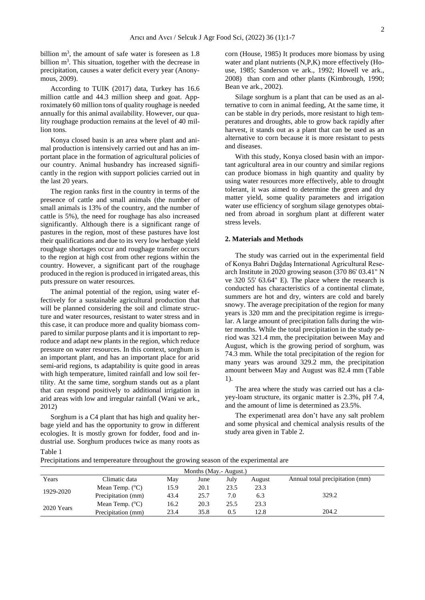billion  $m<sup>3</sup>$ , the amount of safe water is foreseen as  $1.8$ billion  $m<sup>3</sup>$ . This situation, together with the decrease in precipitation, causes a water deficit every year (Anonymous, 2009).

According to TUIK (2017) data, Turkey has 16.6 million cattle and 44.3 million sheep and goat. Approximately 60 million tons of quality roughage is needed annually for this animal availability. However, our quality roughage production remains at the level of 40 million tons.

Konya closed basin is an area where plant and animal production is intensively carried out and has an important place in the formation of agricultural policies of our country. Animal husbandry has increased significantly in the region with support policies carried out in the last 20 years.

The region ranks first in the country in terms of the presence of cattle and small animals (the number of small animals is 13% of the country, and the number of cattle is 5%), the need for roughage has also increased significantly. Although there is a significant range of pastures in the region, most of these pastures have lost their qualifications and due to its very low herbage yield roughage shortages occur and roughage transfer occurs to the region at high cost from other regions within the country. However, a significant part of the roughage produced in the region is produced in irrigated areas, this puts pressure on water resources.

The animal potential of the region, using water effectively for a sustainable agricultural production that will be planned considering the soil and climate structure and water resources, resistant to water stress and in this case, it can produce more and quality biomass compared to similar purpose plants and it is important to reproduce and adapt new plants in the region, which reduce pressure on water resources. In this context, sorghum is an important plant, and has an important place for arid semi-arid regions, ts adaptability is quite good in areas with high temperature, limited rainfall and low soil fertility. At the same time, sorghum stands out as a plant that can respond positively to additional irrigation in arid areas with low and irregular rainfall (Wani ve ark., 2012)

Sorghum is a C4 plant that has high and quality herbage yield and has the opportunity to grow in different ecologies. It is mostly grown for fodder, food and industrial use. Sorghum produces twice as many roots as Table 1

corn (House, 1985) It produces more biomass by using water and plant nutrients (N,P,K) more effectively (House, 1985; Sanderson ve ark., 1992; Howell ve ark., 2008) than corn and other plants (Kimbrough, 1990; Bean ve ark., 2002).

Silage sorghum is a plant that can be used as an alternative to corn in animal feeding, At the same time, it can be stable in dry periods, more resistant to high temperatures and droughts, able to grow back rapidly after harvest, it stands out as a plant that can be used as an alternative to corn because it is more resistant to pests and diseases.

With this study, Konya closed basin with an important agricultural area in our country and similar regions can produce biomass in high quantity and quality by using water resources more effectively, able to drought tolerant, it was aimed to determine the green and dry matter yield, some quality parameters and irrigation water use efficiency of sorghum silage genotypes obtained from abroad in sorghum plant at different water stress levels.

#### **2. Materials and Methods**

The study was carried out in the experimental field of Konya Bahri Dağdaş International Agricultural Research Institute in 2020 growing season (370 86' 03.41" N ve 320 55' 63.64" E). The place where the research is conducted has characteristics of a continental climate, summers are hot and dry, winters are cold and barely snowy. The average precipitation of the region for many years is 320 mm and the precipitation regime is irregular. A large amount of precipitation falls during the winter months. While the total precipitation in the study period was 321.4 mm, the precipitation between May and August, which is the growing period of sorghum, was 74.3 mm. While the total precipitation of the region for many years was around 329.2 mm, the precipitation amount between May and August was 82.4 mm (Table 1).

The area where the study was carried out has a clayey-loam structure, its organic matter is 2.3%, pH 7.4, and the amount of lime is determined as 23.5%.

The experimenatl area don't have any salt problem and some physical and chemical analysis results of the study area given in Table 2.

|  | Precipitations and tempereature throughout the growing season of the experimental are |  |  |  |  |
|--|---------------------------------------------------------------------------------------|--|--|--|--|
|  |                                                                                       |  |  |  |  |

| Months (May.- August.) |                          |      |      |      |        |                                 |  |  |  |  |
|------------------------|--------------------------|------|------|------|--------|---------------------------------|--|--|--|--|
| Years                  | Climatic data            | May  | June | July | August | Annual total precipitation (mm) |  |  |  |  |
| 1929-2020              | Mean Temp. $(^{\circ}C)$ | 15.9 | 20.1 | 23.5 | 23.3   |                                 |  |  |  |  |
|                        | Precipitation (mm)       | 43.4 | 25.7 | 7.0  | 6.3    | 329.2                           |  |  |  |  |
| 2020 Years             | Mean Temp. $(^{\circ}C)$ | 16.2 | 20.3 | 25.5 | 23.3   |                                 |  |  |  |  |
|                        | Precipitation (mm)       | 23.4 | 35.8 | 0.5  | 12.8   | 204.2                           |  |  |  |  |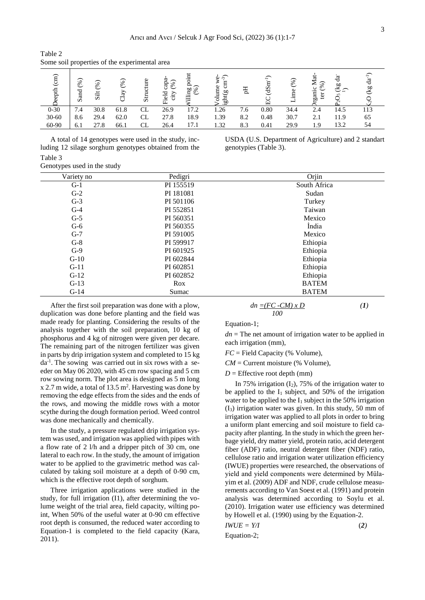| $\sim$ 0.1110 0.011 properties of the enperture mean |             |             |           |                           |                                                                 |                            |                                                        |     |                                      |                                                                    |                                    |                         |           |
|------------------------------------------------------|-------------|-------------|-----------|---------------------------|-----------------------------------------------------------------|----------------------------|--------------------------------------------------------|-----|--------------------------------------|--------------------------------------------------------------------|------------------------------------|-------------------------|-----------|
| (cm)<br>eepth                                        | (%)<br>Sand | (%)<br>Silt | (%)<br>Άy | ucture<br>$S_{\text{IT}}$ | ≂<br>$\overline{\mathcal{E}}$<br>Cap<br>edd<br>city<br>$\dot{}$ | ≏<br>illing $\frac{8}{10}$ | $\widehat{2}$<br>Ф<br>₹<br>olume<br>نځ<br>$g$ ht $(g)$ | Eq  | $\overline{\phantom{1}}$<br>dSm<br>凹 | $\overline{\phantom{1}}$<br>$\mathcal{C}^{\infty}$<br>Φ<br>.Ē<br>⊣ | ਲ<br>↽<br>(%)<br>∼<br>ganic<br>ter | ď<br>60<br>ゼニ<br>S<br>∽ | ಕೆ<br>(kg |
| $0 - 30$                                             | 7.4         | 30.8        | 61.8      | CL                        | 26.9                                                            | 17.2                       | .26                                                    | 7.6 | 0.80                                 | 34.4                                                               | 2.4                                | 14.5                    | 113       |
| $30 - 60$                                            | 8.6         | 29.4        | 62.0      | CL                        | 27.8                                                            | 18.9                       | 1.39                                                   | 8.2 | 0.48                                 | 30.7                                                               | 2.1                                | 11.9                    | 65        |
| 60-90                                                | 6.1         | 27.8        | 66.1      | CL                        | 26.4                                                            | 17.1                       | .32                                                    | 8.3 | 0.41                                 | 29.9                                                               | 1.9                                | 13.2                    | 54        |

Table 2 Some soil properties of the experimental area

A total of 14 genotypes were used in the study, including 12 silage sorghum genotypes obtained from the Table 3

USDA (U.S. Department of Agriculture) and 2 standart genotypies (Table 3).

| 10010J                      |  |
|-----------------------------|--|
| Genotypes used in the study |  |

| Variety no | Pedigri   | Orjin        |
|------------|-----------|--------------|
| $G-1$      | PI 155519 | South Africa |
| $G-2$      | PI 181081 | Sudan        |
| $G-3$      | PI 501106 | Turkey       |
| $G-4$      | PI 552851 | Taiwan       |
| $G-5$      | PI 560351 | Mexico       |
| $G-6$      | PI 560355 | India        |
| $G-7$      | PI 591005 | Mexico       |
| $G-8$      | PI 599917 | Ethiopia     |
| $G-9$      | PI 601925 | Ethiopia     |
| $G-10$     | PI 602844 | Ethiopia     |
| $G-11$     | PI 602851 | Ethiopia     |
| $G-12$     | PI 602852 | Ethiopia     |
| $G-13$     | Rox       | <b>BATEM</b> |
| $G-14$     | Sumac     | <b>BATEM</b> |

After the first soil preparation was done with a plow, duplication was done before planting and the field was made ready for planting. Considering the results of the analysis together with the soil preparation, 10 kg of phosphorus and 4 kg of nitrogen were given per decare. The remaining part of the nitrogen fertilizer was given in parts by drip irrigation system and completed to 15 kg da-1 . The sowing was carried out in six rows with a seeder on May 06 2020, with 45 cm row spacing and 5 cm row sowing norm. The plot area is designed as 5 m long  $x$  2.7 m wide, a total of 13.5 m<sup>2</sup>. Harvesting was done by removing the edge effects from the sides and the ends of the rows, and mowing the middle rows with a motor scythe during the dough formation period. Weed control was done mechanically and chemically.

In the study, a pressure regulated drip irrigation system was used, and irrigation was applied with pipes with a flow rate of 2 l/h and a dripper pitch of 30 cm, one lateral to each row. In the study, the amount of irrigation water to be applied to the gravimetric method was calculated by taking soil moisture at a depth of 0-90 cm, which is the effective root depth of sorghum.

Three irrigation applications were studied in the study, for full irrigation (I1), after determining the volume weight of the trial area, field capacity, wilting point, When 50% of the useful water at 0-90 cm effective root depth is consumed, the reduced water according to Equation-1 is completed to the field capacity (Kara, 2011).

$$
dn = (FC - CM) \times D
$$
  
100 (1)

Equation-1;

 $dn =$ The net amount of irrigation water to be applied in each irrigation (mm),

*FC* = Field Capacity (% Volume),

 $CM =$  Current moisture (% Volume),

 $D =$  Effective root depth (mm)

In 75% irrigation  $(I_2)$ , 75% of the irrigation water to be applied to the  $I_1$  subject, and 50% of the irrigation water to be applied to the  $I_1$  subject in the 50% irrigation (I3) irrigation water was given. In this study, 50 mm of irrigation water was applied to all plots in order to bring a uniform plant emercing and soil moisture to field capacity after planting. In the study in which the green herbage yield, dry matter yield, protein ratio, acid detergent fiber (ADF) ratio, neutral detergent fiber (NDF) ratio, cellulose ratio and irrigation water utilization efficiency (IWUE) properties were researched, the observations of yield and yield components were determined by Mülayim et al. (2009) ADF and NDF, crude cellulose measurements according to Van Soest et al. (1991) and protein analysis was determined according to Soylu et al. (2010). Irrigation water use efficiency was determined by Howell et al. (1990) using by the Equation-2.

$$
IWUE = Y/I
$$
 (2)  
Equation-2;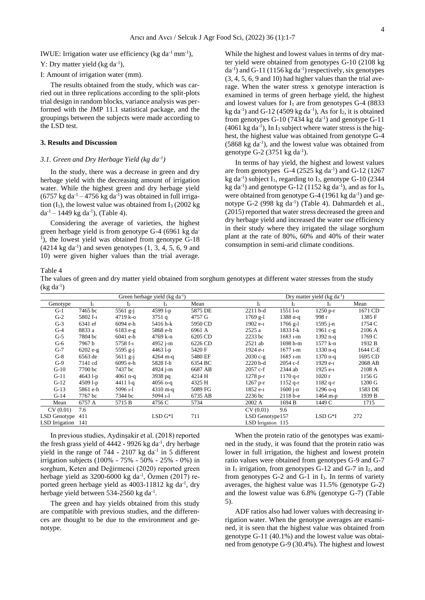IWUE: Irrigation water use efficiency (kg da<sup>-1</sup> mm<sup>-1</sup>),

## Y: Dry matter yield  $(kg da^{-1})$ ,

I: Amount of irrigation water (mm).

The results obtained from the study, which was carried out in three replications according to the split-plots trial design in random blocks, variance analysis was performed with the JMP 11.1 statistical package, and the groupings between the subjects were made according to the LSD test.

#### **3. Results and Discussion**

#### *3.1. Green and Dry Herbage Yield (kg da-1 )*

In the study, there was a decrease in green and dry herbage yield with the decreasing amount of irrigation water. While the highest green and dry herbage yield  $(6757 \text{ kg da}^{-1} - 4756 \text{ kg da}^{-1})$  was obtained in full irrigation  $(I_1)$ , the lowest value was obtained from  $I_3$  (2002 kg)  $da^{-1}$  – 1449 kg da<sup>-1</sup>), (Table 4).

Considering the average of varieties, the highest green herbage yield is from genotype G-4 (6961 kg da-<sup>1</sup>), the lowest yield was obtained from genotype G-18  $(4214 \text{ kg da}^{-1})$  and seven genotypes  $(1, 3, 4, 5, 6, 9)$  and 10) were given higher values than the trial average.

While the highest and lowest values in terms of dry matter yield were obtained from genotypes G-10 (2108 kg  $da^{-1}$ ) and G-11 (1156 kg  $da^{-1}$ ) respectively, six genotypes (3, 4, 5, 6, 9 and 10) had higher values than the trial average. When the water stress x genotype interaction is examined in terms of green herbage yield, the highest and lowest values for  $I_1$  are from genotypes G-4 (8833) kg da<sup>-1</sup>) and G-12 (4509 kg da<sup>-1</sup>), As for  $I_2$ , it is obtained from genotypes  $G-10$  (7434 kg da<sup>-1</sup>) and genotype  $G-11$  $(4061 \text{ kg da}^{-1})$ , In I<sub>3</sub> subject where water stress is the highest, the highest value was obtained from genotype G-4  $(5868 \text{ kg da}^{-1})$ , and the lowest value was obtained from genotype G-2 (3751 kg da<sup>-1</sup>).

In terms of hay yield, the highest and lowest values are from genotypes  $G-4$  (2525 kg da<sup>-1</sup>) and  $G-12$  (1267 kg da<sup>-1</sup>) subject  $I_1$ , regarding to  $I_2$ , genotype G-10 (2344) kg da<sup>-1</sup>) and genotype G-12 (1152 kg da<sup>-1</sup>), and as for  $I_3$ , were obtained from genotype  $G-4$  (1961 kg da<sup>-1</sup>) and genotype G-2 (998 kg da<sup>-1</sup>) (Table 4). Dahmardeh et al., (2015) reported that water stress decreased the green and dry herbage yield and increased the water use efficiency in their study where they irrigated the silage sorghum plant at the rate of 80%, 60% and 40% of their water consumption in semi-arid climate conditions.

Table 4

The values of green and dry matter yield obtained from sorghum genotypes at different water stresses from the study  $(kg da^{-1})$ 

| Green herbage yield $(kg da^{-1})$ |            |                |                    |         |                    | Dry matter yield $(kg da^{-1})$ |            |          |  |
|------------------------------------|------------|----------------|--------------------|---------|--------------------|---------------------------------|------------|----------|--|
| Genotype                           |            | $\mathbf{I}_2$ | 13                 | Mean    |                    | ı۰                              |            | Mean     |  |
| $G-1$                              | 7465 bc    | $5561$ g-j     | 4599 l-p           | 5875 DE | $2211$ b-d         | $15511 - o$                     | $1250 p-r$ | 1671 CD  |  |
| $G-2$                              | 5802 f-1   | 4719 k-o       | 3751q              | 4757 G  | $1769$ g-l         | $1388 n - q$                    | 998 r      | 1385 F   |  |
| $G-3$                              | 6341 ef    | 6094 e-h       | 5416 h-k           | 5950 CD | 1902 e-1           | $1766$ g-l                      | $1595$ j-n | 1754 C   |  |
| $G-4$                              | 8833 a     | $6183 e-g$     | 5868 e-h           | 6961 A  | 2525a              | 1833 f-k                        | $1961c-g$  | 2106 A   |  |
| $G-5$                              | 7804 bc    | 6041 e-h       | 4769 k-n           | 6205 CD | 2233 bc            | $1683 - m$                      | $1392$ n-q | 1769 C   |  |
| $G-6$                              | 7967 b     | 5758 f-1       | 4952 j-m           | 6226 CD | $2521$ ab          | 1698 h-m                        | 1577 k-n   | 1932 B   |  |
| $G-7$                              | $6202 e-g$ | $5595$ g-j     | $44631-p$          | 5420 F  | 1924 e-1           | $1677 - m$                      | $1330$ n-q | 1644 C-E |  |
| $G-8$                              | 6563 de    | 5611 g-j       | $4264$ m-q         | 5480 EF | $2030 c-g$         | $1685$ 1-m                      | $1370$ n-q | 1695 CD  |  |
| $G-9$                              | 7141 cd    | 6095 e-h       | 5828 f-h           | 6354 BC | $2220$ b-d         | $2054 c-f$                      | 1929 e-1   | 2068 AB  |  |
| $G-10$                             | 7700 bc    | 7437 bc        | 4924 j-m           | 6687 AB | $2057c-f$          | 2344 ab                         | 1925 e-1   | 2108 A   |  |
| $G-11$                             | $46431-p$  | $4061$ n-q     | 3938 pq            | 4214 H  | $1278 p-r$         | $1170$ q-r                      | 1020r      | 1156 G   |  |
| $G-12$                             | $45091-p$  | 4411 1-a       | $4056$ o-a         | 4325 H  | $1267$ p-r         | $1152$ q-r                      | $1182$ q-r | 1200 G   |  |
| $G-13$                             | 5861 e-h   | $50961 - 1$    | $4310 \text{ m-q}$ | 5089 FG | 1852 e-1           | $1600$ j-n                      | $1296$ o-q | 1583 DE  |  |
| $G-14$                             | 7767 bc    | 7344 bc        | $50941 -1$         | 6735 AB | 2236 bc            | $2118 b - e$                    | 1464 m-p   | 1939 B   |  |
| Mean                               | 6757 A     | 5715 B         | 4756 C             | 5734    | 2002 A             | 1694 B                          | 1449 C     | 1715     |  |
| CV(0.01)                           | 7.6        |                |                    |         | CV(0.01)           | 9.6                             |            |          |  |
| LSD Genotype                       | 411        |                | $LSD G*I$          | 711     | LSD Genotype157    |                                 | $LSD G*I$  | 272      |  |
| LSD Irrigation                     | 141        |                |                    |         | LSD Irrigation 115 |                                 |            |          |  |

In previous studies, Aydinşakir et al. (2018) reported the fresh grass yield of  $4442 - 9926$  kg da<sup>-1</sup>, dry herbage yield in the range of  $744 - 2107$  kg da<sup>-1</sup> in 5 different irrigation subjects (100% - 75% - 50% - 25% - 0%) in sorghum, Keten and Değirmenci (2020) reported green herbage yield as 3200-6000 kg da<sup>-1</sup>, Özmen (2017) reported green herbage yield as  $4003-11812$  kg da<sup>-1</sup>, dry herbage yield between 534-2560 kg da<sup>-1</sup>.

The green and hay yields obtained from this study are compatible with previous studies, and the differences are thought to be due to the environment and genotype.

When the protein ratio of the genotypes was examined in the study, it was found that the protein ratio was lower in full irrigation, the highest and lowest protein ratio values were obtained from genotypes G-9 and G-7 in  $I_1$  irrigation, from genotypes G-12 and G-7 in  $I_2$ , and from genotypes G-2 and G-1 in I<sub>3</sub>. In terms of variety averages, the highest value was 11.5% (genotype G-2) and the lowest value was 6.8% (genotype G-7) (Table 5).

ADF ratios also had lower values with decreasing irrigation water. When the genotype averages are examined, it is seen that the highest value was obtained from genotype G-11 (40.1%) and the lowest value was obtained from genotype G-9 (30.4%). The highest and lowest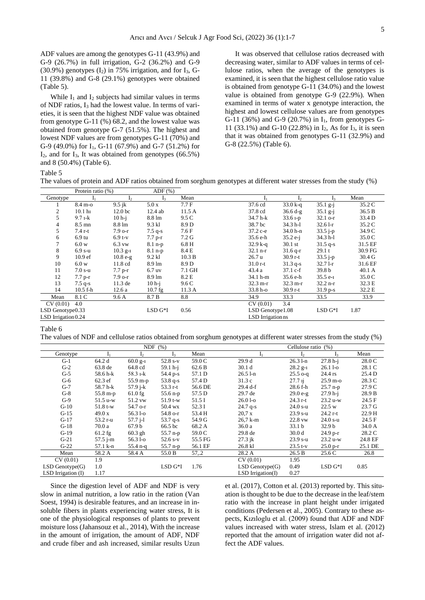ADF values are among the genotypes G-11 (43.9%) and G-9 (26.7%) in full irrigation, G-2 (36.2%) and G-9 (30.9%) genotypes  $(I_2)$  in 75% irrigation, and for  $I_3$ , G-11 (39.8%) and G-8 (29.1%) genotypes were obtained (Table 5).

While  $I_1$  and  $I_2$  subjects had similar values in terms of NDF ratios, I<sup>3</sup> had the lowest value. In terms of varieties, it is seen that the highest NDF value was obtained from genotype G-11 (%) 68.2, and the lowest value was obtained from genotype G-7 (51.5%). The highest and lowest NDF values are from genotypes G-11 (70%) and G-9 (49.0%) for  $I_1$ , G-11 (67.9%) and G-7 (51.2%) for  $I_2$ , and for  $I_3$ , It was obtained from genotypes (66.5%) and 8 (50.4%) (Table 6).

It was observed that cellulose ratios decreased with decreasing water, similar to ADF values in terms of cellulose ratios, when the average of the genotypes is examined, it is seen that the highest cellulose ratio value is obtained from genotype G-11 (34.0%) and the lowest value is obtained from genotype G-9 (22.9%). When examined in terms of water x genotype interaction, the highest and lowest cellulose values are from genotypes G-11 (36%) and G-9 (20.7%) in I1, from genotypes G-11 (33.1%) and G-10 (22.8%) in I2, As for I3, it is seen that it was obtained from genotypes G-11 (32.9%) and G-8 (22.5%) (Table 6).

Table 5

The values of protein and ADF ratios obtained from sorghum genotypes at different water stresses from the study (%)

|                     | Protein ratio (%)  |                    | $ADF$ $(\%)$     |        |                    |                    |                |         |
|---------------------|--------------------|--------------------|------------------|--------|--------------------|--------------------|----------------|---------|
| Genotype            |                    | I <sub>2</sub>     | 1 <sub>3</sub>   | Mean   |                    | I <sub>2</sub>     | 1 <sub>3</sub> | Mean    |
|                     | 8.4 m-o            | $9.5$ jk           | 5.0x             | 7.7 F  | 37.6 cd            | $33.0 k - q$       | $35.1$ g-j     | 35.2 C  |
| 2                   | 10.1 <sub>h1</sub> | 12.0 <sub>bc</sub> | 12.4 ab          | 11.5A  | 37.8 cd            | $36.6 d-g$         | $35.1$ g-j     | 36.5 B  |
| 5                   | $9.7 - k$          | $10h-i$            | 8.8 lm           | 9.5 C  | 34.7 h-k           | $33.61-p$          | $32.1$ o-r     | 33.4 D  |
| 4                   | $8.5 \text{ mm}$   | 8.8 lm             | 9.3 kl           | 8.9 D  | 38.7 bc            | $34.3$ h-1         | $32.61 - r$    | 35.2 C  |
| 5                   | $7.4r-t$           | $7.9$ o-r          | $7.5$ q-s        | 7.6 F  | 37.2 c-e           | 34.0 h-n           | $33.5 - p$     | 34.9 C  |
| 6                   | $6.9 \text{ tu}$   | $6.9t-v$           | $7.7 p-r$        | 7.2 G  | 35.6 e-h           | $35.2 e-i$         | 34.3 h-l       | 35.0 C  |
|                     | 6.0 w              | $6.3$ vw           | $8.1$ n-p        | 6.8 H  | $32.9 k - q$       | $30.1$ st          | $31.5$ q-s     | 31.5 EF |
| 8                   | $6.9 s-u$          | $10.3$ g-1         | $8.1$ n-p        | 8.4 E  | $32.1$ n-r         | $31.6$ q-r         | 29.1 t         | 30.9 FG |
| 9                   | 10.9 <sub>ef</sub> | $10.8 e-g$         | 9.2 kl           | 10.3 B | 26.7 u             | $30.9r-t$          | $33.5 i-p$     | 30.4 G  |
| 10                  | 6.0 w              | $11.8 \text{ cd}$  | $8.9 \text{ lm}$ | 8.9 D  | $31.0r-t$          | $31.3$ q-s         | $32.71-r$      | 31.6 EF |
| 11                  | $7.0 s$ -u         | $7.7 p-r$          | $6.7$ uv         | 7.1 GH | 43.4 a             | $37.1 c-f$         | 39.8 b         | 40.1 A  |
| 12                  | $7.7 p-r$          | $7.9$ o-r          | $8.9 \text{ lm}$ | 8.2 E  | 34.1 h-m           | 35.6 e-h           | $35.5e-1$      | 35.0 C  |
| 13                  | $7.5$ q-s          | 11.3 de            | $10h-i$          | 9.6 C  | $32.3 \text{ m-r}$ | $32.3 \text{ m-r}$ | $32.2 n-r$     | 32.3 E  |
| 14                  | $10.5 f-h$         | 12.6a              | $10.7$ fg        | 11.3A  | 33.8 h-o           | $30.9r-t$          | $31.9 p-s$     | 32.2 E  |
| Mean                | 8.1 C              | 9.6 A              | 8.7 B            | 8.8    | 34.9               | 33.3               | 33.5           | 33.9    |
| CV(0.01)            | 4.0                |                    |                  |        | CV(0.01)           | 3.4                |                |         |
| LSD Genotype0.33    |                    |                    | $LSD G*I$        | 0.56   | LSD Genotype1.08   |                    | $LSD G*I$      | 1.87    |
| LSD Irrigation 0.24 |                    |                    |                  |        | LSD Irrigation ns  |                    |                |         |

Table 6

The values of NDF and cellulose ratios obtained from sorghum genotypes at different water stresses from the study (%)

|                      |                    |              | NDF $(\%)$ |         | Cellulose ratio (%)  |                    |                    |         |  |
|----------------------|--------------------|--------------|------------|---------|----------------------|--------------------|--------------------|---------|--|
| Genotype             |                    | Ŀ.           | ı,         | Mean    | Iı                   | I,                 | $I_3$              | Mean    |  |
| $G-1$                | 64.2 d             | $60.0$ g-1   | $52.8 s-v$ | 59.0 C  | 29.9 d               | $26.31 - n$        | $27.8 h-i$         | 28.0 C  |  |
| $G-2$                | 63.8 de            | 64.8 cd      | $59.1 h-i$ | 62.6 B  | 30.1 <sub>d</sub>    | $28.2 g_{-1}$      | $26.11 -$          | 28.1 C  |  |
| $G-5$                | 58.6 h-k           | 58.3 1-k     | 54.4 p-s   | 57.1 D  | $26.51 - n$          | $25.5$ o-q         | 24.4 rs            | 25.4 D  |  |
| $G-6$                | $62.3$ ef          | 55.9 m-p     | $53.8q-s$  | 57.4 D  | 31.3 c               | 27.7 <sub>11</sub> | $25.9 \text{ m-o}$ | 28.3 C  |  |
| $G-7$                | 58.7 h-k           | $57.9 j-k$   | 53.3 r-t   | 56.6 DE | $29.4 \text{ d-f}$   | 28.6 f-h           | $25.7$ n-p         | 27.9 C  |  |
| $G-8$                | $55.8 \text{ m-p}$ | $61.0$ fg    | $55.6$ n-p | 57.5 D  | 29.7 de              | $29.0 e-g$         | $27.9 h-i$         | 28.9 B  |  |
| $G-9$                | $51.5 u-w$         | 51.2 vw      | $51.9 t-w$ | 51.5 I  | $26.01 -o$           | $24.3$ r-t         | $23.2 u-w$         | 24.5 F  |  |
| $G-10$               | $51.8 t-w$         | 54.7 o-r     | 50.4 wx    | 52.3 I  | $24.7$ q-s           | $24.0 s - u$       | 22.5 w             | 23.7 G  |  |
| $G-15$               | 49.0 x             | 56.3 l-o     | 54.8 o-r   | 53.4 H  | 20.7 x               | $23.9 s-u$         | $24.2$ r-t         | 22.9 H  |  |
| $G-17$               | $53.2r-u$          | $57.7$ $i-1$ | $53.7$ q-s | 54.9 G  | $26.7$ k-m           | 22.8 vw            | $24.0 s$ -u        | 24.5 F  |  |
| $G-18$               | 70.0 a             | 67.9 b       | 66.5 bc    | 68.2 A  | 36.0 a               | 33.1 b             | 32.9 <sub>b</sub>  | 34.0 A  |  |
| $G-19$               | $61.2$ fg          | $60.3$ gh    | $55.7$ n-p | 59.0 C  | 29.8 de              | 30.0 <sub>d</sub>  | $24.9 p-r$         | 28.2 C  |  |
| $G-21$               | $57.5$ j-m         | 56.3 l-o     | $52.6 s-v$ | 55.5 FG | $27.3$ jk            | $23.9 s-u$         | 23.2 u-w           | 24.8 EF |  |
| $G-22$               | 57.1 k-n           | $55.4$ n-q   | $55.7$ n-p | 56.1 EF | 26.8 kl              | $23.5 t-v$         | $25.0 p-r$         | 25.1 DE |  |
| Mean                 | 58.2 A             | 58.4 A       | 55.0 B     | 57, 2   | 28.2 A               | 26.5 B             | 25.6 C             | 26.8    |  |
| CV(0.01)             | 1.9                |              |            |         | CV(0.01)             | 1.95               |                    |         |  |
| $LSD$ Genotype $(G)$ | 1.0                |              | $LSD G*I$  | 1.76    | $LSD$ Genotype $(G)$ | 0.49               | $LSD G*I$          | 0.85    |  |
| LSD Irrigation (I)   | 1.17               |              |            |         | $LSD$ Irrigation(I)  | 0.27               |                    |         |  |

Since the digestion level of ADF and NDF is very slow in animal nutrition, a low ratio in the ration (Van Soest, 1994) is desirable features, and an increase in insoluble fibers in plants experiencing water stress, It is one of the physiological responses of plants to prevent moisture loss (Jahansouz et al., 2014), With the increase in the amount of irrigation, the amount of ADF, NDF and crude fiber and ash increased, similar results Uzun et al. (2017), Cotton et al. (2013) reported by. This situation is thought to be due to the decrease in the leaf/stem ratio with the increase in plant height under irrigated conditions (Pedersen et al., 2005). Contrary to these aspects, Kızıloglu et al. (2009) found that ADF and NDF values increased with water stress, Islam et al. (2012) reported that the amount of irrigation water did not affect the ADF values.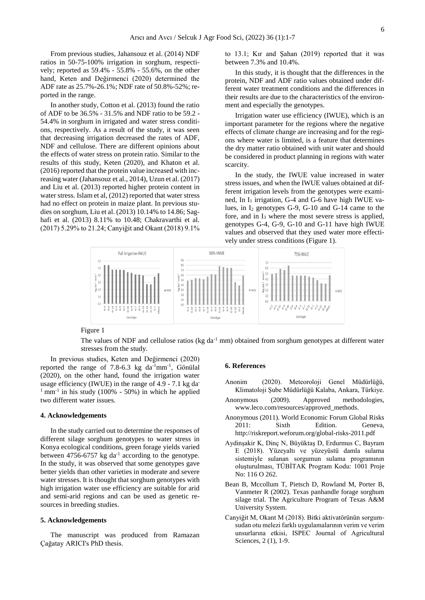From previous studies, Jahansouz et al. (2014) NDF ratios in 50-75-100% irrigation in sorghum, respectively; reported as 59.4% - 55.8% - 55.6%, on the other hand, Keten and Değirmenci (2020) determined the ADF rate as 25.7%-26.1%; NDF rate of 50.8%-52%; reported in the range.

In another study, Cotton et al. (2013) found the ratio of ADF to be 36.5% - 31.5% and NDF ratio to be 59.2 - 54.4% in sorghum in irrigated and water stress conditions, respectively. As a result of the study, it was seen that decreasing irrigation decreased the rates of ADF, NDF and cellulose. There are different opinions about the effects of water stress on protein ratio. Similar to the results of this study, Keten (2020), and Khaton et al. (2016) reported that the protein value increased with increasing water (Jahansouz et al., 2014), Uzun et al. (2017) and Liu et al. (2013) reported higher protein content in water stress. Islam et al, (2012) reported that water stress had no effect on protein in maize plant. In previous studies on sorghum, Liu et al. (2013) 10.14% to 14.86; Saghafi et al. (2013) 8.11% to 10.48; Chakravarthi et al. (2017) 5.29% to 21.24; Canyiğit and Okant (2018) 9.1% to 13.1; Kır and Şahan (2019) reported that it was between 7.3% and 10.4%.

In this study, it is thought that the differences in the protein, NDF and ADF ratio values obtained under different water treatment conditions and the differences in their results are due to the characteristics of the environment and especially the genotypes.

Irrigation water use efficiency (IWUE), which is an important parameter for the regions where the negative effects of climate change are increasing and for the regions where water is limited, is a feature that determines the dry matter ratio obtained with unit water and should be considered in product planning in regions with water scarcity.

In the study, the IWUE value increased in water stress issues, and when the IWUE values obtained at different irrigation levels from the genotypes were examined, In  $I_1$  irrigation, G-4 and G-6 have high IWUE values, in  $I_2$  genotypes G-9, G-10 and G-14 came to the fore, and in I<sup>3</sup> where the most severe stress is applied, genotypes G-4, G-9, G-10 and G-11 have high IWUE values and observed that they used water more effectively under stress conditions (Figure 1).



#### Figure 1

The values of NDF and cellulose ratios (kg da<sup>-1</sup> mm) obtained from sorghum genotypes at different water stresses from the study.

In previous studies, Keten and Değirmenci (2020) reported the range of  $7.8-6.3$  kg da<sup>-1</sup>mm<sup>-1</sup>, Gönülal (2020), on the other hand, found the irrigation water usage efficiency (IWUE) in the range of 4.9 - 7.1 kg da- $1$  mm<sup>-1</sup> in his study (100% - 50%) in which he applied two different water issues.

#### **4. Acknowledgements**

In the study carried out to determine the responses of different silage sorghum genotypes to water stress in Konya ecological conditions, green forage yields varied between 4756-6757  $kg \text{ da}^{-1}$  according to the genotype. In the study, it was observed that some genotypes gave better yields than other varieties in moderate and severe water stresses. It is thought that sorghum genotypes with high irrigation water use efficiency are suitable for arid and semi-arid regions and can be used as genetic resources in breeding studies.

#### **5. Acknowledgements**

The manuscript was produced from Ramazan Çağatay ARICI's PhD thesis.

#### **6. References**

- Anonim (2020). Meteoroloji Genel Müdürlüğü, Klimatoloji Şube Müdürlüğü Kalaba, Ankara, Türkiye.
- Anonymous (2009). Approved methodologies, [www.leco.com/resources/approved\\_methods.](file:///C:/Users/ramazancagatay.arici/Downloads/www.leco.com/resources/approved_methods)
- Anonymous (2011). World Economic Forum Global Risks 2011: Sixth Edition. Geneva, http://riskreport.weforum.org/global-risks-2011.pdf
- Aydinşakir K, Dinç N, Büyüktaş D, Erdurmus C, Bayram E (2018). Yüzeyaltı ve yüzeyüstü damla sulama sistemiyle sulanan sorgumun sulama programının oluşturulması, TÜBİTAK Program Kodu: 1001 Proje No: 116 O 262.
- Bean B, Mccollum T, Pietsch D, Rowland M, Porter B, Vanmeter R (2002). Texas panhandle forage sorghum silage trial. The Agriculture Program of Texas A&M University System.
- Canyiğit M, Okant M (2018). Bitki aktivatörünün sorgumsudan otu melezi farklı uygulamalarının verim ve verim unsurlarına etkisi, ISPEC Journal of Agricultural Sciences, 2 (1), 1-9.